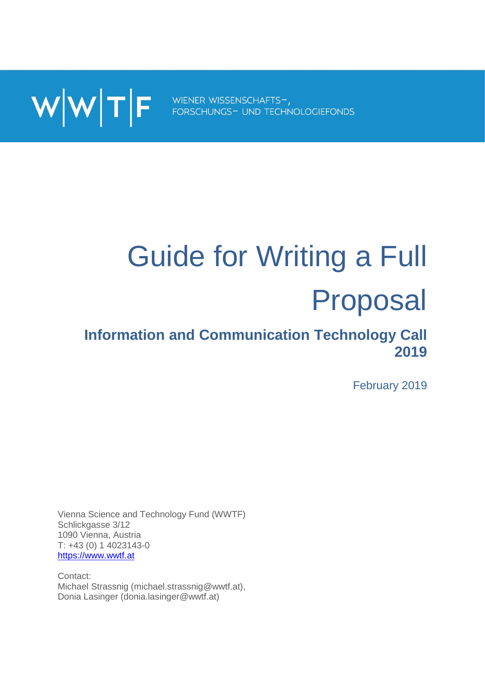

# Guide for Writing a Full Proposal

# **Information and Communication Technology Call 2019**

February 2019

Vienna Science and Technology Fund (WWTF) Schlickgasse 3/12 1090 Vienna, Austria T: +43 (0) 1 4023143-0 [https://www.wwtf.at](https://www.wwtf.at/)

Contact: Michael Strassnig (michael.strassnig@wwtf.at), Donia Lasinger (donia.lasinger@wwtf.at)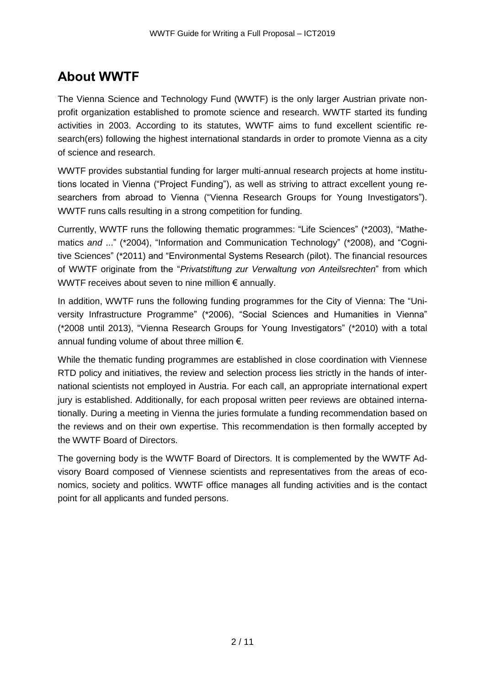# **About WWTF**

The Vienna Science and Technology Fund (WWTF) is the only larger Austrian private nonprofit organization established to promote science and research. WWTF started its funding activities in 2003. According to its statutes, WWTF aims to fund excellent scientific research(ers) following the highest international standards in order to promote Vienna as a city of science and research.

WWTF provides substantial funding for larger multi-annual research projects at home institutions located in Vienna ("Project Funding"), as well as striving to attract excellent young researchers from abroad to Vienna ("Vienna Research Groups for Young Investigators"). WWTF runs calls resulting in a strong competition for funding.

Currently, WWTF runs the following thematic programmes: "Life Sciences" (\*2003), "Mathematics *and* ..." (\*2004), "Information and Communication Technology" (\*2008), and "Cognitive Sciences" (\*2011) and "Environmental Systems Research (pilot). The financial resources of WWTF originate from the "*Privatstiftung zur Verwaltung von Anteilsrechten*" from which WWTF receives about seven to nine million € annually.

In addition, WWTF runs the following funding programmes for the City of Vienna: The "University Infrastructure Programme" (\*2006), "Social Sciences and Humanities in Vienna" (\*2008 until 2013), "Vienna Research Groups for Young Investigators" (\*2010) with a total annual funding volume of about three million €.

While the thematic funding programmes are established in close coordination with Viennese RTD policy and initiatives, the review and selection process lies strictly in the hands of international scientists not employed in Austria. For each call, an appropriate international expert jury is established. Additionally, for each proposal written peer reviews are obtained internationally. During a meeting in Vienna the juries formulate a funding recommendation based on the reviews and on their own expertise. This recommendation is then formally accepted by the WWTF Board of Directors.

The governing body is the WWTF Board of Directors. It is complemented by the WWTF Advisory Board composed of Viennese scientists and representatives from the areas of economics, society and politics. WWTF office manages all funding activities and is the contact point for all applicants and funded persons.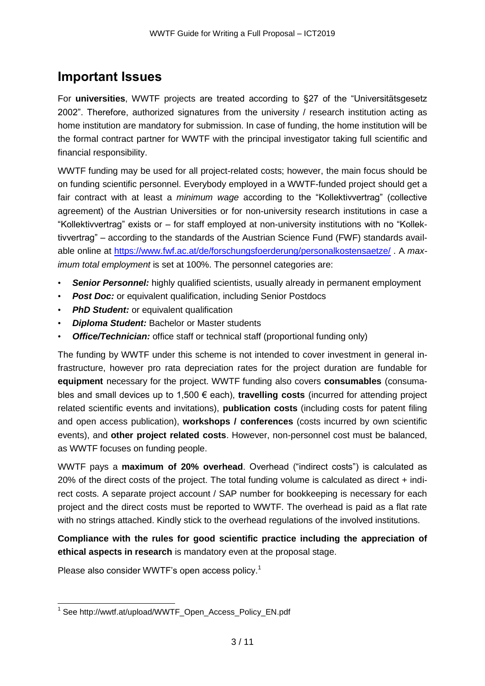## **Important Issues**

For **universities**, WWTF projects are treated according to §27 of the "Universitätsgesetz 2002". Therefore, authorized signatures from the university / research institution acting as home institution are mandatory for submission. In case of funding, the home institution will be the formal contract partner for WWTF with the principal investigator taking full scientific and financial responsibility.

WWTF funding may be used for all project-related costs; however, the main focus should be on funding scientific personnel. Everybody employed in a WWTF-funded project should get a fair contract with at least a *minimum wage* according to the "Kollektivvertrag" (collective agreement) of the Austrian Universities or for non-university research institutions in case a "Kollektivvertrag" exists or – for staff employed at non-university institutions with no "Kollektivvertrag" – according to the standards of the Austrian Science Fund (FWF) standards available online at<https://www.fwf.ac.at/de/forschungsfoerderung/personalkostensaetze/> . A *maximum total employment* is set at 100%. The personnel categories are:

- **Senior Personnel:** highly qualified scientists, usually already in permanent employment
- **Post Doc:** or equivalent qualification, including Senior Postdocs
- *PhD Student:* or equivalent qualification
- *Diploma Student:* Bachelor or Master students
- **Office/Technician:** office staff or technical staff (proportional funding only)

The funding by WWTF under this scheme is not intended to cover investment in general infrastructure, however pro rata depreciation rates for the project duration are fundable for **equipment** necessary for the project. WWTF funding also covers **consumables** (consumables and small devices up to 1,500 € each), **travelling costs** (incurred for attending project related scientific events and invitations), **publication costs** (including costs for patent filing and open access publication), **workshops / conferences** (costs incurred by own scientific events), and **other project related costs**. However, non-personnel cost must be balanced, as WWTF focuses on funding people.

WWTF pays a **maximum of 20% overhead**. Overhead ("indirect costs") is calculated as 20% of the direct costs of the project. The total funding volume is calculated as direct + indirect costs. A separate project account / SAP number for bookkeeping is necessary for each project and the direct costs must be reported to WWTF. The overhead is paid as a flat rate with no strings attached. Kindly stick to the overhead regulations of the involved institutions.

**Compliance with the rules for good scientific practice including the appreciation of ethical aspects in research** is mandatory even at the proposal stage.

Please also consider WWTF's open access policy.<sup>1</sup>

 1 See http://wwtf.at/upload/WWTF\_Open\_Access\_Policy\_EN.pdf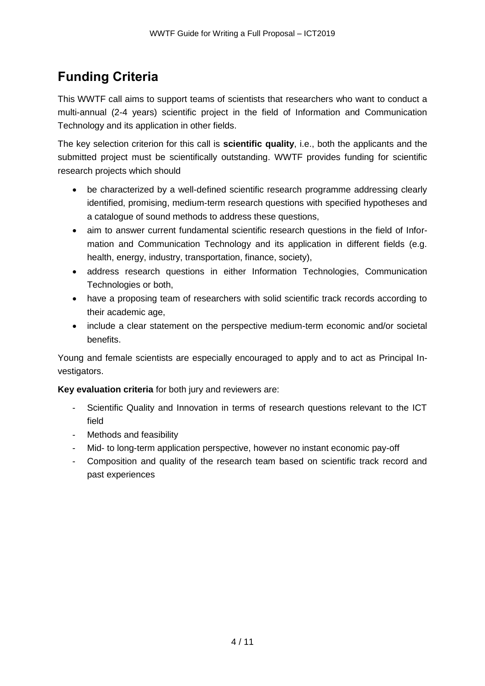# **Funding Criteria**

This WWTF call aims to support teams of scientists that researchers who want to conduct a multi-annual (2-4 years) scientific project in the field of Information and Communication Technology and its application in other fields.

The key selection criterion for this call is **scientific quality**, i.e., both the applicants and the submitted project must be scientifically outstanding. WWTF provides funding for scientific research projects which should

- be characterized by a well-defined scientific research programme addressing clearly identified, promising, medium-term research questions with specified hypotheses and a catalogue of sound methods to address these questions,
- aim to answer current fundamental scientific research questions in the field of Information and Communication Technology and its application in different fields (e.g. health, energy, industry, transportation, finance, society).
- address research questions in either Information Technologies, Communication Technologies or both,
- have a proposing team of researchers with solid scientific track records according to their academic age,
- include a clear statement on the perspective medium-term economic and/or societal benefits.

Young and female scientists are especially encouraged to apply and to act as Principal Investigators.

**Key evaluation criteria** for both jury and reviewers are:

- Scientific Quality and Innovation in terms of research questions relevant to the ICT field
- Methods and feasibility
- Mid- to long-term application perspective, however no instant economic pay-off
- Composition and quality of the research team based on scientific track record and past experiences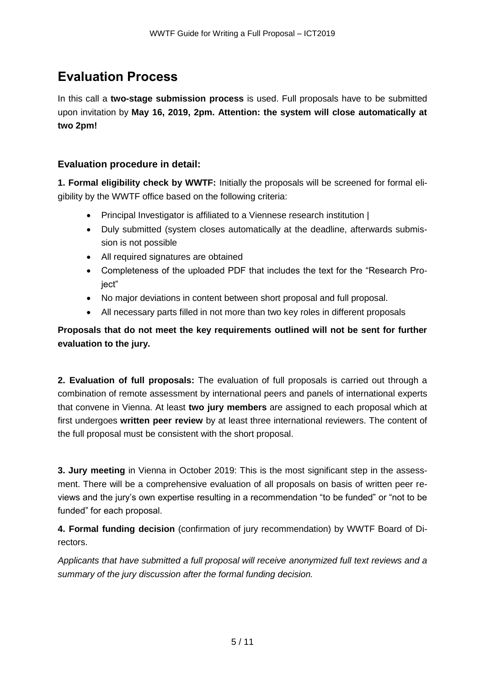# **Evaluation Process**

In this call a **two-stage submission process** is used. Full proposals have to be submitted upon invitation by **May 16, 2019, 2pm. Attention: the system will close automatically at two 2pm!**

## **Evaluation procedure in detail:**

**1. Formal eligibility check by WWTF:** Initially the proposals will be screened for formal eligibility by the WWTF office based on the following criteria:

- Principal Investigator is affiliated to a Viennese research institution |
- Duly submitted (system closes automatically at the deadline, afterwards submission is not possible
- All required signatures are obtained
- Completeness of the uploaded PDF that includes the text for the "Research Proiect"
- No major deviations in content between short proposal and full proposal.
- All necessary parts filled in not more than two key roles in different proposals

**Proposals that do not meet the key requirements outlined will not be sent for further evaluation to the jury.**

**2. Evaluation of full proposals:** The evaluation of full proposals is carried out through a combination of remote assessment by international peers and panels of international experts that convene in Vienna. At least **two jury members** are assigned to each proposal which at first undergoes **written peer review** by at least three international reviewers. The content of the full proposal must be consistent with the short proposal.

**3. Jury meeting** in Vienna in October 2019: This is the most significant step in the assessment. There will be a comprehensive evaluation of all proposals on basis of written peer reviews and the jury's own expertise resulting in a recommendation "to be funded" or "not to be funded" for each proposal.

**4. Formal funding decision** (confirmation of jury recommendation) by WWTF Board of Directors.

*Applicants that have submitted a full proposal will receive anonymized full text reviews and a summary of the jury discussion after the formal funding decision.*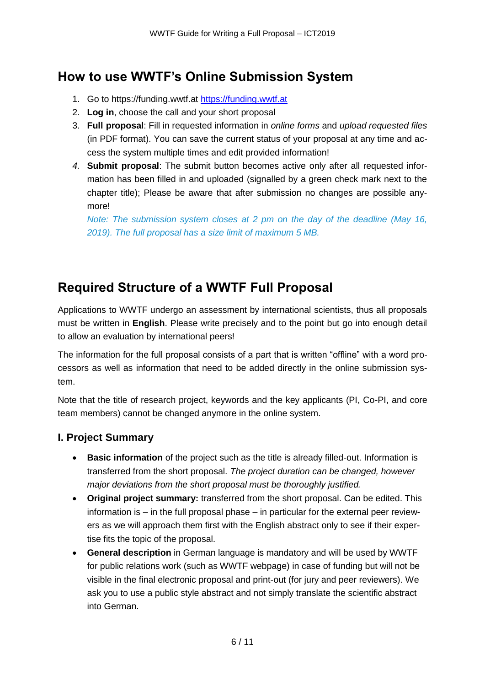# **How to use WWTF's Online Submission System**

- 1. Go to https://funding.wwtf.at [https://funding.wwtf.at](https://funding.wwtf.at/)
- 2. **Log in**, choose the call and your short proposal
- 3. **Full proposal**: Fill in requested information in *online forms* and *upload requested files* (in PDF format). You can save the current status of your proposal at any time and access the system multiple times and edit provided information!
- *4.* **Submit proposal**: The submit button becomes active only after all requested information has been filled in and uploaded (signalled by a green check mark next to the chapter title); Please be aware that after submission no changes are possible anymore!

*Note: The submission system closes at 2 pm on the day of the deadline (May 16, 2019). The full proposal has a size limit of maximum 5 MB.*

# **Required Structure of a WWTF Full Proposal**

Applications to WWTF undergo an assessment by international scientists, thus all proposals must be written in **English**. Please write precisely and to the point but go into enough detail to allow an evaluation by international peers!

The information for the full proposal consists of a part that is written "offline" with a word processors as well as information that need to be added directly in the online submission system.

Note that the title of research project, keywords and the key applicants (PI, Co-PI, and core team members) cannot be changed anymore in the online system.

## **I. Project Summary**

- **Basic information** of the project such as the title is already filled-out. Information is transferred from the short proposal. *The project duration can be changed, however major deviations from the short proposal must be thoroughly justified.*
- **Original project summary:** transferred from the short proposal. Can be edited. This information is – in the full proposal phase – in particular for the external peer reviewers as we will approach them first with the English abstract only to see if their expertise fits the topic of the proposal.
- **General description** in German language is mandatory and will be used by WWTF for public relations work (such as WWTF webpage) in case of funding but will not be visible in the final electronic proposal and print-out (for jury and peer reviewers). We ask you to use a public style abstract and not simply translate the scientific abstract into German.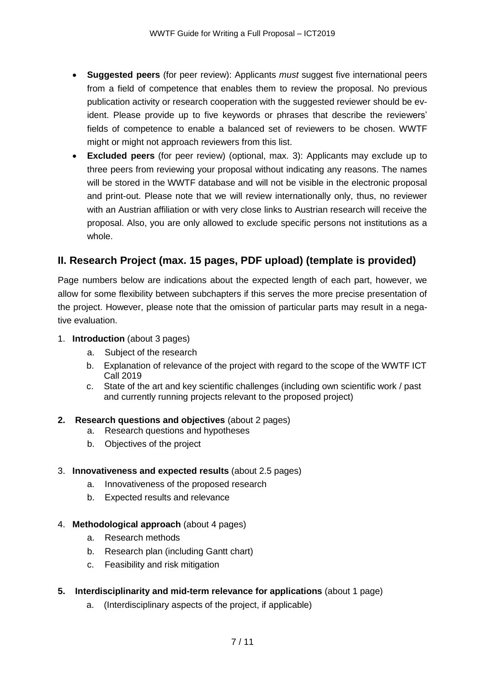- **Suggested peers** (for peer review): Applicants *must* suggest five international peers from a field of competence that enables them to review the proposal. No previous publication activity or research cooperation with the suggested reviewer should be evident. Please provide up to five keywords or phrases that describe the reviewers' fields of competence to enable a balanced set of reviewers to be chosen. WWTF might or might not approach reviewers from this list.
- **Excluded peers** (for peer review) (optional, max. 3): Applicants may exclude up to three peers from reviewing your proposal without indicating any reasons. The names will be stored in the WWTF database and will not be visible in the electronic proposal and print-out. Please note that we will review internationally only, thus, no reviewer with an Austrian affiliation or with very close links to Austrian research will receive the proposal. Also, you are only allowed to exclude specific persons not institutions as a whole.

## **II. Research Project (max. 15 pages, PDF upload) (template is provided)**

Page numbers below are indications about the expected length of each part, however, we allow for some flexibility between subchapters if this serves the more precise presentation of the project. However, please note that the omission of particular parts may result in a negative evaluation.

- 1. **Introduction** (about 3 pages)
	- a. Subject of the research
	- b. Explanation of relevance of the project with regard to the scope of the WWTF ICT Call 2019
	- c. State of the art and key scientific challenges (including own scientific work / past and currently running projects relevant to the proposed project)

#### **2. Research questions and objectives** (about 2 pages)

- a. Research questions and hypotheses
- b. Objectives of the project

#### 3. **Innovativeness and expected results** (about 2.5 pages)

- a. Innovativeness of the proposed research
- b. Expected results and relevance
- 4. **Methodological approach** (about 4 pages)
	- a. Research methods
	- b. Research plan (including Gantt chart)
	- c. Feasibility and risk mitigation
- **5. Interdisciplinarity and mid-term relevance for applications** (about 1 page)
	- a. (Interdisciplinary aspects of the project, if applicable)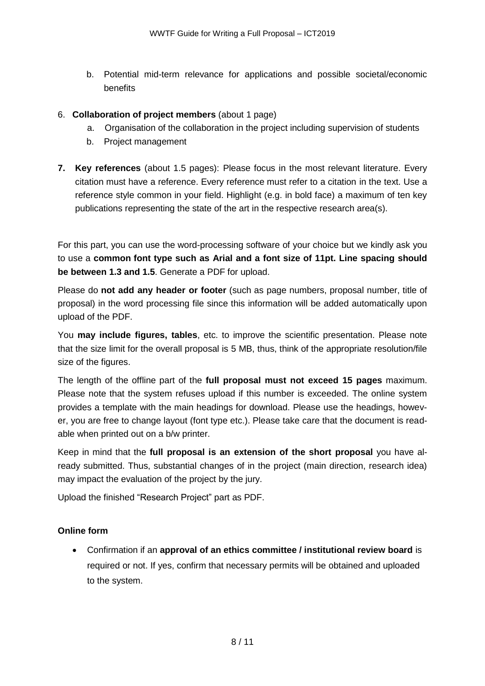b. Potential mid-term relevance for applications and possible societal/economic benefits

#### 6. **Collaboration of project members** (about 1 page)

- a. Organisation of the collaboration in the project including supervision of students
- b. Project management
- **7. Key references** (about 1.5 pages): Please focus in the most relevant literature. Every citation must have a reference. Every reference must refer to a citation in the text. Use a reference style common in your field. Highlight (e.g. in bold face) a maximum of ten key publications representing the state of the art in the respective research area(s).

For this part, you can use the word-processing software of your choice but we kindly ask you to use a **common font type such as Arial and a font size of 11pt. Line spacing should be between 1.3 and 1.5**. Generate a PDF for upload.

Please do **not add any header or footer** (such as page numbers, proposal number, title of proposal) in the word processing file since this information will be added automatically upon upload of the PDF.

You **may include figures, tables**, etc. to improve the scientific presentation. Please note that the size limit for the overall proposal is 5 MB, thus, think of the appropriate resolution/file size of the figures.

The length of the offline part of the **full proposal must not exceed 15 pages** maximum. Please note that the system refuses upload if this number is exceeded. The online system provides a template with the main headings for download. Please use the headings, however, you are free to change layout (font type etc.). Please take care that the document is readable when printed out on a b/w printer.

Keep in mind that the **full proposal is an extension of the short proposal** you have already submitted. Thus, substantial changes of in the project (main direction, research idea) may impact the evaluation of the project by the jury.

Upload the finished "Research Project" part as PDF.

#### **Online form**

 Confirmation if an **approval of an ethics committee / institutional review board** is required or not. If yes, confirm that necessary permits will be obtained and uploaded to the system.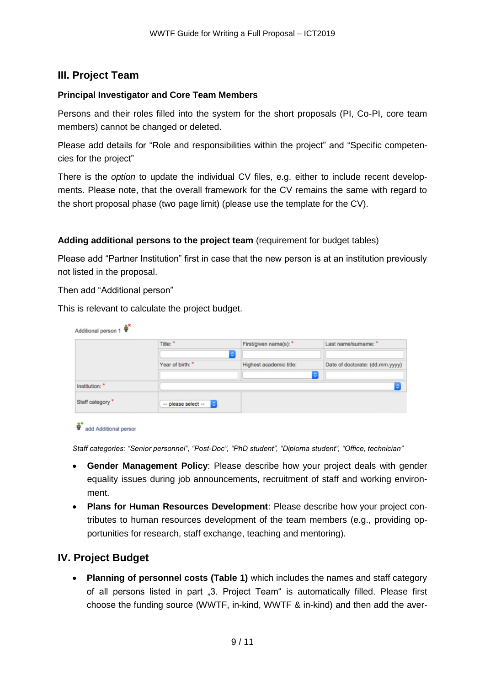## **III. Project Team**

#### **Principal Investigator and Core Team Members**

Persons and their roles filled into the system for the short proposals (PI, Co-PI, core team members) cannot be changed or deleted.

Please add details for "Role and responsibilities within the project" and "Specific competencies for the project"

There is the *option* to update the individual CV files, e.g. either to include recent developments. Please note, that the overall framework for the CV remains the same with regard to the short proposal phase (two page limit) (please use the template for the CV).

#### **Adding additional persons to the project team** (requirement for budget tables)

Please add "Partner Institution" first in case that the new person is at an institution previously not listed in the proposal.

Then add "Additional person"

This is relevant to calculate the project budget.

|                             | Title: *            | First/given name(s): *<br>٠ | Last name/sumame: *             |
|-----------------------------|---------------------|-----------------------------|---------------------------------|
|                             | Year of birth:      | Highest academic title:     | Date of doctorate: (dd.mm.yyyy) |
| Institution: *              |                     | $\ddot{\circ}$              |                                 |
| Staff category <sup>*</sup> | -- please select -- |                             |                                 |



*Staff categories: "Senior personnel", "Post-Doc", "PhD student", "Diploma student", "Office, technician"* 

- **Gender Management Policy**: Please describe how your project deals with gender equality issues during job announcements, recruitment of staff and working environment.
- **Plans for Human Resources Development**: Please describe how your project contributes to human resources development of the team members (e.g., providing opportunities for research, staff exchange, teaching and mentoring).

## **IV. Project Budget**

 **Planning of personnel costs (Table 1)** which includes the names and staff category of all persons listed in part "3. Project Team" is automatically filled. Please first choose the funding source (WWTF, in-kind, WWTF & in-kind) and then add the aver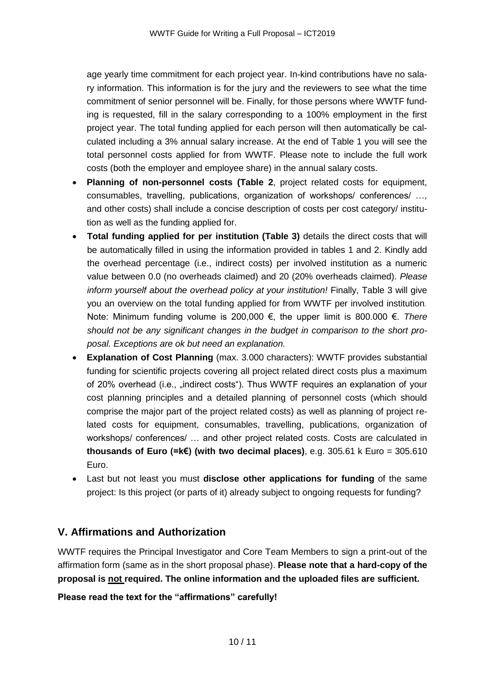age yearly time commitment for each project year. In-kind contributions have no salary information. This information is for the jury and the reviewers to see what the time commitment of senior personnel will be. Finally, for those persons where WWTF funding is requested, fill in the salary corresponding to a 100% employment in the first project year. The total funding applied for each person will then automatically be calculated including a 3% annual salary increase. At the end of Table 1 you will see the total personnel costs applied for from WWTF. Please note to include the full work costs (both the employer and employee share) in the annual salary costs.

- **Planning of non-personnel costs (Table 2**, project related costs for equipment, consumables, travelling, publications, organization of workshops/ conferences/ …, and other costs) shall include a concise description of costs per cost category/ institution as well as the funding applied for.
- **Total funding applied for per institution (Table 3)** details the direct costs that will be automatically filled in using the information provided in tables 1 and 2. Kindly add the overhead percentage (i.e., indirect costs) per involved institution as a numeric value between 0.0 (no overheads claimed) and 20 (20% overheads claimed). *Please inform yourself about the overhead policy at your institution!* Finally, Table 3 will give you an overview on the total funding applied for from WWTF per involved institution*.*  Note: Minimum funding volume is 200,000 €, the upper limit is 800.000 €. *There should not be any significant changes in the budget in comparison to the short proposal. Exceptions are ok but need an explanation.*
- **Explanation of Cost Planning** (max. 3.000 characters): WWTF provides substantial funding for scientific projects covering all project related direct costs plus a maximum of 20% overhead (i.e., "indirect costs"). Thus WWTF requires an explanation of your cost planning principles and a detailed planning of personnel costs (which should comprise the major part of the project related costs) as well as planning of project related costs for equipment, consumables, travelling, publications, organization of workshops/ conferences/ … and other project related costs. Costs are calculated in **thousands of Euro (=k€) (with two decimal places)**, e.g. 305.61 k Euro = 305.610 Euro.
- Last but not least you must **disclose other applications for funding** of the same project: Is this project (or parts of it) already subject to ongoing requests for funding?

## **V. Affirmations and Authorization**

WWTF requires the Principal Investigator and Core Team Members to sign a print-out of the affirmation form (same as in the short proposal phase). **Please note that a hard-copy of the proposal is not required. The online information and the uploaded files are sufficient.** 

#### **Please read the text for the "affirmations" carefully!**